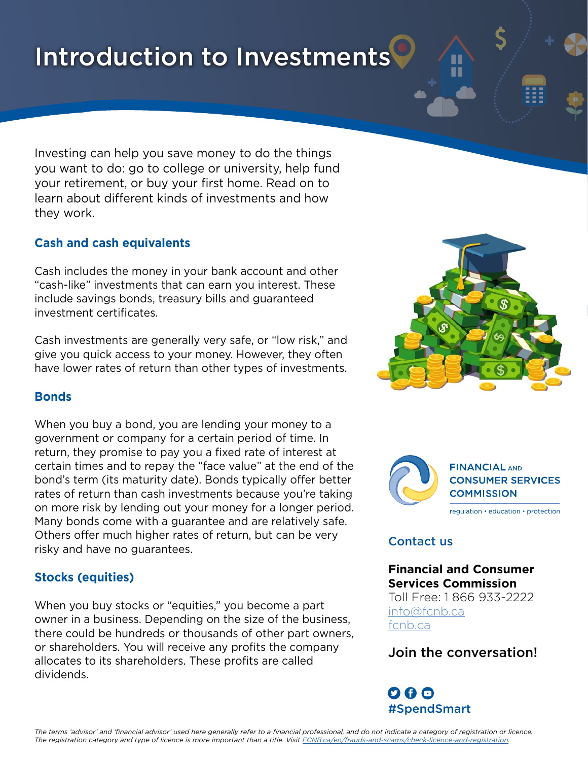# Introduction to Investments

Investing can help you save money to do the things you want to do: go to college or university, help fund your retirement, or buy your first home. Read on to learn about different kinds of investments and how they work.

## **Cash and cash equivalents**

Cash includes the money in your bank account and other "cash-like" investments that can earn you interest. These include savings bonds, treasury bills and guaranteed investment certificates.

Cash investments are generally very safe, or "low risk," and give you quick access to your money. However, they often have lower rates of return than other types of investments.

## **Bonds**

When you buy a bond, you are lending your money to a government or company for a certain period of time. In return, they promise to pay you a fixed rate of interest at certain times and to repay the "face value" at the end of the bond's term (its maturity date). Bonds typically offer better rates of return than cash investments because you're taking on more risk by lending out your money for a longer period. Many bonds come with a guarantee and are relatively safe. Others offer much higher rates of return, but can be very risky and have no guarantees.

## **Stocks (equities)**

When you buy stocks or "equities," you become a part owner in a business. Depending on the size of the business, there could be hundreds or thousands of other part owners, or shareholders. You will receive any profits the company allocates to its shareholders. These profits are called dividends.





## Contact us

## **Financial and Consumer Services Commission**

Toll Free: 1 866 933-2222 [info@fcnb.ca](mailto:info%40fcnb.ca?subject=) [fcnb.ca](http://fr.fcnb.ca/ConsommateursFinanciers.html)

## Join the conversation!

 $\mathbf{O} \mathbf{O} \mathbf{O}$ #SpendSmart